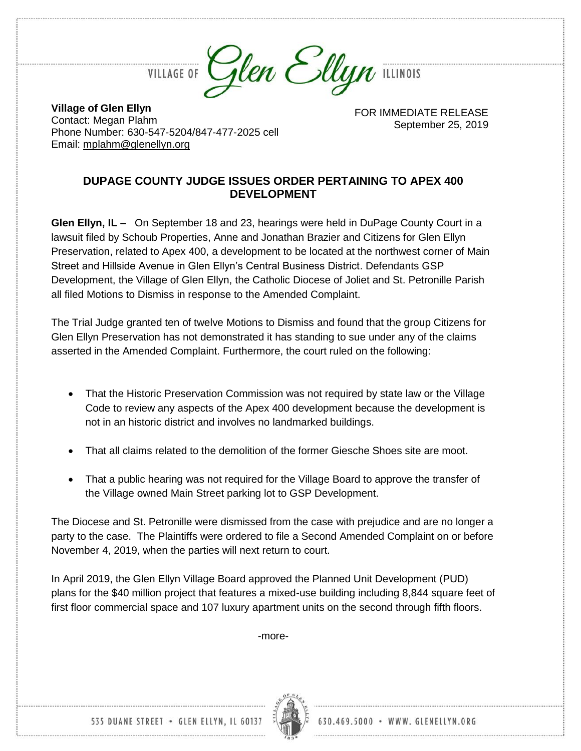

**VILLAGE OF** 

**Village of Glen Ellyn** Contact: Megan Plahm Phone Number: 630-547-5204/847-477-2025 cell Email: [mplahm@glenellyn.org](mailto:mplahm@glenellyn.org)

FOR IMMEDIATE RELEASE September 25, 2019

## **DUPAGE COUNTY JUDGE ISSUES ORDER PERTAINING TO APEX 400 DEVELOPMENT**

**Glen Ellyn, IL –** On September 18 and 23, hearings were held in DuPage County Court in a lawsuit filed by Schoub Properties, Anne and Jonathan Brazier and Citizens for Glen Ellyn Preservation, related to Apex 400, a development to be located at the northwest corner of Main Street and Hillside Avenue in Glen Ellyn's Central Business District. Defendants GSP Development, the Village of Glen Ellyn, the Catholic Diocese of Joliet and St. Petronille Parish all filed Motions to Dismiss in response to the Amended Complaint.

The Trial Judge granted ten of twelve Motions to Dismiss and found that the group Citizens for Glen Ellyn Preservation has not demonstrated it has standing to sue under any of the claims asserted in the Amended Complaint. Furthermore, the court ruled on the following:

- That the Historic Preservation Commission was not required by state law or the Village Code to review any aspects of the Apex 400 development because the development is not in an historic district and involves no landmarked buildings.
- That all claims related to the demolition of the former Giesche Shoes site are moot.
- That a public hearing was not required for the Village Board to approve the transfer of the Village owned Main Street parking lot to GSP Development.

The Diocese and St. Petronille were dismissed from the case with prejudice and are no longer a party to the case. The Plaintiffs were ordered to file a Second Amended Complaint on or before November 4, 2019, when the parties will next return to court.

In April 2019, the Glen Ellyn Village Board approved the Planned Unit Development (PUD) plans for the \$40 million project that features a mixed-use building including 8,844 square feet of first floor commercial space and 107 luxury apartment units on the second through fifth floors.

-more-



535 DUANE STREET . GLEN ELLYN, IL 60137